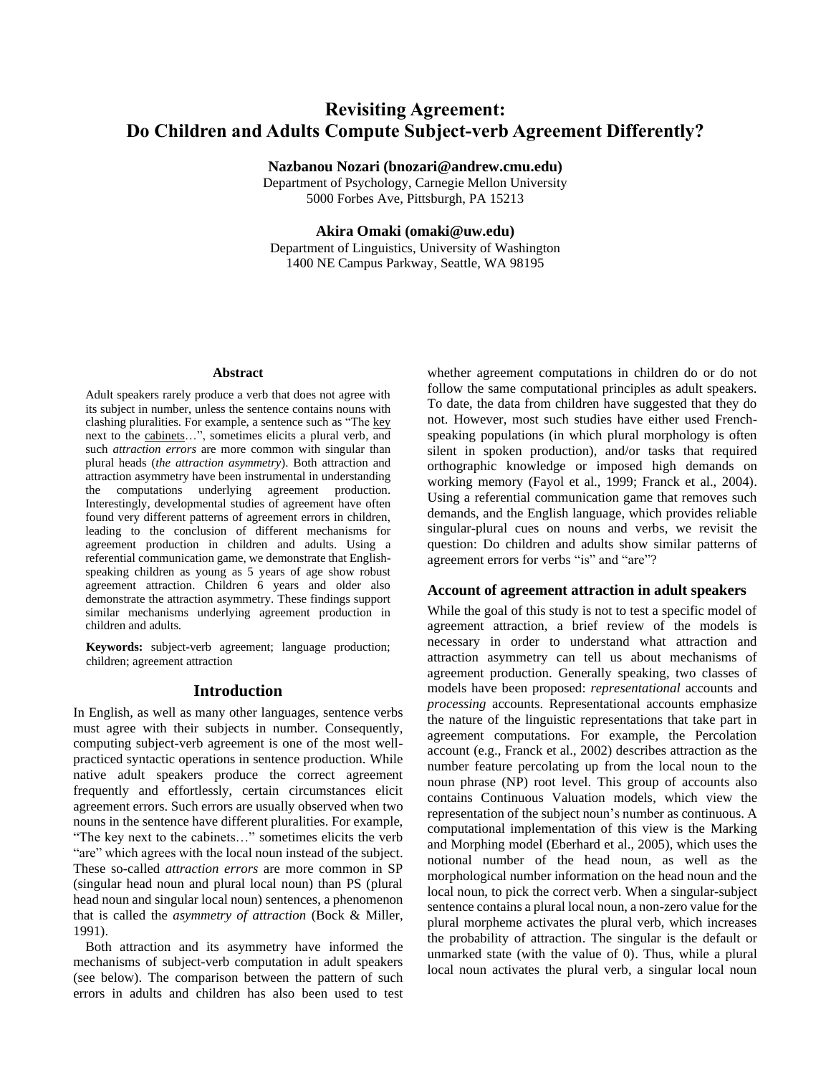# **Revisiting Agreement: Do Children and Adults Compute Subject-verb Agreement Differently?**

**Nazbanou Nozari (bnozari@andrew.cmu.edu)**

Department of Psychology, Carnegie Mellon University 5000 Forbes Ave, Pittsburgh, PA 15213

# **Akira Omaki (omaki@uw.edu)**

Department of Linguistics, University of Washington 1400 NE Campus Parkway, Seattle, WA 98195

#### **Abstract**

Adult speakers rarely produce a verb that does not agree with its subject in number, unless the sentence contains nouns with clashing pluralities. For example, a sentence such as "The key next to the cabinets…", sometimes elicits a plural verb, and such *attraction errors* are more common with singular than plural heads (*the attraction asymmetry*). Both attraction and attraction asymmetry have been instrumental in understanding the computations underlying agreement production. Interestingly, developmental studies of agreement have often found very different patterns of agreement errors in children, leading to the conclusion of different mechanisms for agreement production in children and adults. Using a referential communication game, we demonstrate that Englishspeaking children as young as 5 years of age show robust agreement attraction. Children 6 years and older also demonstrate the attraction asymmetry. These findings support similar mechanisms underlying agreement production in children and adults.

**Keywords:** subject-verb agreement; language production; children; agreement attraction

# **Introduction**

In English, as well as many other languages, sentence verbs must agree with their subjects in number. Consequently, computing subject-verb agreement is one of the most wellpracticed syntactic operations in sentence production. While native adult speakers produce the correct agreement frequently and effortlessly, certain circumstances elicit agreement errors. Such errors are usually observed when two nouns in the sentence have different pluralities. For example, "The key next to the cabinets…" sometimes elicits the verb "are" which agrees with the local noun instead of the subject. These so-called *attraction errors* are more common in SP (singular head noun and plural local noun) than PS (plural head noun and singular local noun) sentences, a phenomenon that is called the *asymmetry of attraction* (Bock & Miller, 1991).

Both attraction and its asymmetry have informed the mechanisms of subject-verb computation in adult speakers (see below). The comparison between the pattern of such errors in adults and children has also been used to test

whether agreement computations in children do or do not follow the same computational principles as adult speakers. To date, the data from children have suggested that they do not. However, most such studies have either used Frenchspeaking populations (in which plural morphology is often silent in spoken production), and/or tasks that required orthographic knowledge or imposed high demands on working memory (Fayol et al., 1999; Franck et al., 2004). Using a referential communication game that removes such demands, and the English language, which provides reliable singular-plural cues on nouns and verbs, we revisit the question: Do children and adults show similar patterns of agreement errors for verbs "is" and "are"?

# **Account of agreement attraction in adult speakers**

While the goal of this study is not to test a specific model of agreement attraction, a brief review of the models is necessary in order to understand what attraction and attraction asymmetry can tell us about mechanisms of agreement production. Generally speaking, two classes of models have been proposed: *representational* accounts and *processing* accounts. Representational accounts emphasize the nature of the linguistic representations that take part in agreement computations. For example, the Percolation account (e.g., Franck et al., 2002) describes attraction as the number feature percolating up from the local noun to the noun phrase (NP) root level. This group of accounts also contains Continuous Valuation models, which view the representation of the subject noun's number as continuous. A computational implementation of this view is the Marking and Morphing model (Eberhard et al., 2005), which uses the notional number of the head noun, as well as the morphological number information on the head noun and the local noun, to pick the correct verb. When a singular-subject sentence contains a plural local noun, a non-zero value for the plural morpheme activates the plural verb, which increases the probability of attraction. The singular is the default or unmarked state (with the value of 0). Thus, while a plural local noun activates the plural verb, a singular local noun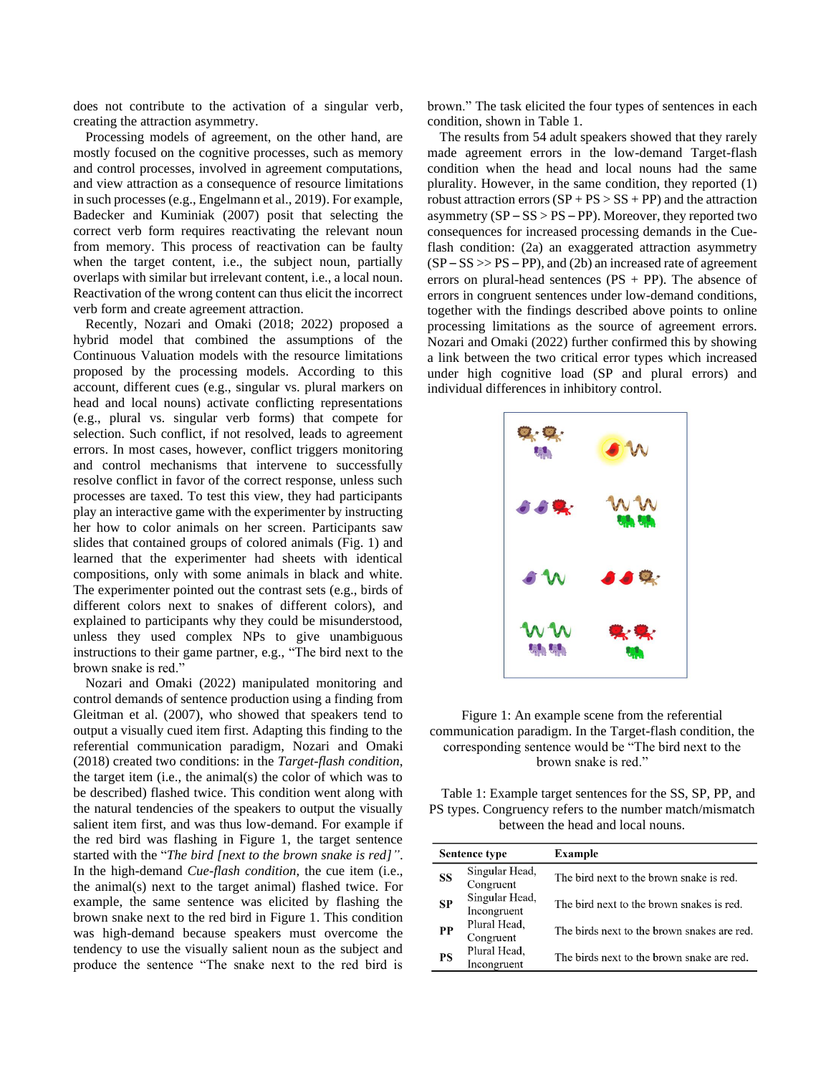does not contribute to the activation of a singular verb, creating the attraction asymmetry.

Processing models of agreement, on the other hand, are mostly focused on the cognitive processes, such as memory and control processes, involved in agreement computations, and view attraction as a consequence of resource limitations in such processes (e.g., Engelmann et al., 2019). For example, Badecker and Kuminiak (2007) posit that selecting the correct verb form requires reactivating the relevant noun from memory. This process of reactivation can be faulty when the target content, i.e., the subject noun, partially overlaps with similar but irrelevant content, i.e., a local noun. Reactivation of the wrong content can thus elicit the incorrect verb form and create agreement attraction.

Recently, Nozari and Omaki (2018; 2022) proposed a hybrid model that combined the assumptions of the Continuous Valuation models with the resource limitations proposed by the processing models. According to this account, different cues (e.g., singular vs. plural markers on head and local nouns) activate conflicting representations (e.g., plural vs. singular verb forms) that compete for selection. Such conflict, if not resolved, leads to agreement errors. In most cases, however, conflict triggers monitoring and control mechanisms that intervene to successfully resolve conflict in favor of the correct response, unless such processes are taxed. To test this view, they had participants play an interactive game with the experimenter by instructing her how to color animals on her screen. Participants saw slides that contained groups of colored animals (Fig. 1) and learned that the experimenter had sheets with identical compositions, only with some animals in black and white. The experimenter pointed out the contrast sets (e.g., birds of different colors next to snakes of different colors), and explained to participants why they could be misunderstood, unless they used complex NPs to give unambiguous instructions to their game partner, e.g., "The bird next to the brown snake is red."

Nozari and Omaki (2022) manipulated monitoring and control demands of sentence production using a finding from Gleitman et al. (2007), who showed that speakers tend to output a visually cued item first. Adapting this finding to the referential communication paradigm, Nozari and Omaki (2018) created two conditions: in the *Target-flash condition*, the target item (i.e., the animal(s) the color of which was to be described) flashed twice. This condition went along with the natural tendencies of the speakers to output the visually salient item first, and was thus low-demand. For example if the red bird was flashing in Figure 1, the target sentence started with the "*The bird [next to the brown snake is red]"*. In the high-demand *Cue-flash condition*, the cue item (i.e., the animal(s) next to the target animal) flashed twice. For example, the same sentence was elicited by flashing the brown snake next to the red bird in Figure 1. This condition was high-demand because speakers must overcome the tendency to use the visually salient noun as the subject and produce the sentence "The snake next to the red bird is

brown." The task elicited the four types of sentences in each condition, shown in Table 1.

The results from 54 adult speakers showed that they rarely made agreement errors in the low-demand Target-flash condition when the head and local nouns had the same plurality. However, in the same condition, they reported (1) robust attraction errors  $(SP + PS > SS + PP)$  and the attraction asymmetry (SP – SS > PS – PP). Moreover, they reported two consequences for increased processing demands in the Cueflash condition: (2a) an exaggerated attraction asymmetry  $(SP - SS \gg PS - PP)$ , and (2b) an increased rate of agreement errors on plural-head sentences  $(PS + PP)$ . The absence of errors in congruent sentences under low-demand conditions, together with the findings described above points to online processing limitations as the source of agreement errors. Nozari and Omaki (2022) further confirmed this by showing a link between the two critical error types which increased under high cognitive load (SP and plural errors) and individual differences in inhibitory control.



Figure 1: An example scene from the referential communication paradigm. In the Target-flash condition, the corresponding sentence would be "The bird next to the brown snake is red."

Table 1: Example target sentences for the SS, SP, PP, and PS types. Congruency refers to the number match/mismatch between the head and local nouns.

| <b>Sentence type</b> |                               | Example                                     |
|----------------------|-------------------------------|---------------------------------------------|
| SS                   | Singular Head,<br>Congruent   | The bird next to the brown snake is red.    |
| <b>SP</b>            | Singular Head,<br>Incongruent | The bird next to the brown snakes is red.   |
| PP                   | Plural Head,<br>Congruent     | The birds next to the brown snakes are red. |
| PS                   | Plural Head,<br>Incongruent   | The birds next to the brown snake are red.  |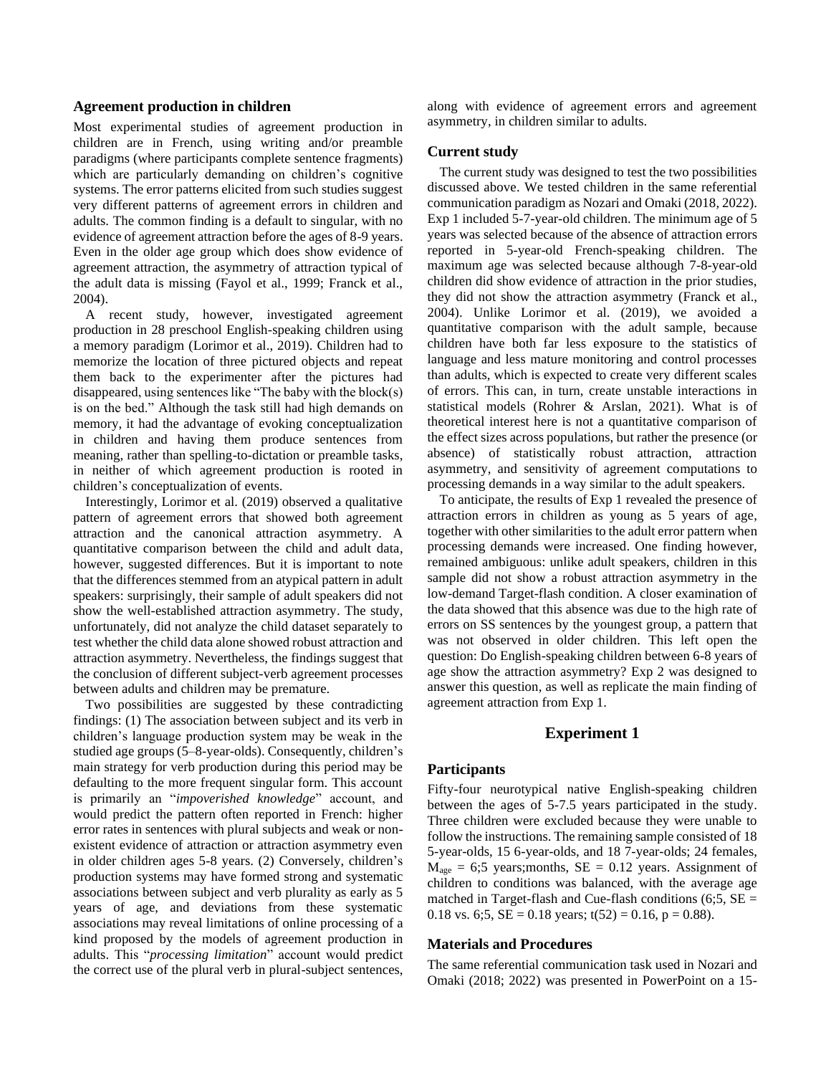### **Agreement production in children**

Most experimental studies of agreement production in children are in French, using writing and/or preamble paradigms (where participants complete sentence fragments) which are particularly demanding on children's cognitive systems. The error patterns elicited from such studies suggest very different patterns of agreement errors in children and adults. The common finding is a default to singular, with no evidence of agreement attraction before the ages of 8-9 years. Even in the older age group which does show evidence of agreement attraction, the asymmetry of attraction typical of the adult data is missing (Fayol et al., 1999; Franck et al., 2004).

A recent study, however, investigated agreement production in 28 preschool English-speaking children using a memory paradigm (Lorimor et al., 2019). Children had to memorize the location of three pictured objects and repeat them back to the experimenter after the pictures had disappeared, using sentences like "The baby with the block(s) is on the bed." Although the task still had high demands on memory, it had the advantage of evoking conceptualization in children and having them produce sentences from meaning, rather than spelling-to-dictation or preamble tasks, in neither of which agreement production is rooted in children's conceptualization of events.

Interestingly, Lorimor et al. (2019) observed a qualitative pattern of agreement errors that showed both agreement attraction and the canonical attraction asymmetry. A quantitative comparison between the child and adult data, however, suggested differences. But it is important to note that the differences stemmed from an atypical pattern in adult speakers: surprisingly, their sample of adult speakers did not show the well-established attraction asymmetry. The study, unfortunately, did not analyze the child dataset separately to test whether the child data alone showed robust attraction and attraction asymmetry. Nevertheless, the findings suggest that the conclusion of different subject-verb agreement processes between adults and children may be premature.

Two possibilities are suggested by these contradicting findings: (1) The association between subject and its verb in children's language production system may be weak in the studied age groups (5–8-year-olds). Consequently, children's main strategy for verb production during this period may be defaulting to the more frequent singular form. This account is primarily an "*impoverished knowledge*" account, and would predict the pattern often reported in French: higher error rates in sentences with plural subjects and weak or nonexistent evidence of attraction or attraction asymmetry even in older children ages 5-8 years. (2) Conversely, children's production systems may have formed strong and systematic associations between subject and verb plurality as early as 5 years of age, and deviations from these systematic associations may reveal limitations of online processing of a kind proposed by the models of agreement production in adults. This "*processing limitation*" account would predict the correct use of the plural verb in plural-subject sentences, along with evidence of agreement errors and agreement asymmetry, in children similar to adults.

#### **Current study**

The current study was designed to test the two possibilities discussed above. We tested children in the same referential communication paradigm as Nozari and Omaki (2018, 2022). Exp 1 included 5-7-year-old children. The minimum age of 5 years was selected because of the absence of attraction errors reported in 5-year-old French-speaking children. The maximum age was selected because although 7-8-year-old children did show evidence of attraction in the prior studies, they did not show the attraction asymmetry (Franck et al., 2004). Unlike Lorimor et al. (2019), we avoided a quantitative comparison with the adult sample, because children have both far less exposure to the statistics of language and less mature monitoring and control processes than adults, which is expected to create very different scales of errors. This can, in turn, create unstable interactions in statistical models (Rohrer & Arslan, 2021). What is of theoretical interest here is not a quantitative comparison of the effect sizes across populations, but rather the presence (or absence) of statistically robust attraction, attraction asymmetry, and sensitivity of agreement computations to processing demands in a way similar to the adult speakers.

To anticipate, the results of Exp 1 revealed the presence of attraction errors in children as young as 5 years of age, together with other similarities to the adult error pattern when processing demands were increased. One finding however, remained ambiguous: unlike adult speakers, children in this sample did not show a robust attraction asymmetry in the low-demand Target-flash condition. A closer examination of the data showed that this absence was due to the high rate of errors on SS sentences by the youngest group, a pattern that was not observed in older children. This left open the question: Do English-speaking children between 6-8 years of age show the attraction asymmetry? Exp 2 was designed to answer this question, as well as replicate the main finding of agreement attraction from Exp 1.

# **Experiment 1**

#### **Participants**

Fifty-four neurotypical native English-speaking children between the ages of 5-7.5 years participated in the study. Three children were excluded because they were unable to follow the instructions. The remaining sample consisted of 18 5-year-olds, 15 6-year-olds, and 18 7-year-olds; 24 females,  $M<sub>age</sub> = 6;5 years; months, SE = 0.12 years. Assignment of$ children to conditions was balanced, with the average age matched in Target-flash and Cue-flash conditions  $(6:5, SE =$ 0.18 vs. 6;5,  $SE = 0.18$  years;  $t(52) = 0.16$ ,  $p = 0.88$ ).

### **Materials and Procedures**

The same referential communication task used in Nozari and Omaki (2018; 2022) was presented in PowerPoint on a 15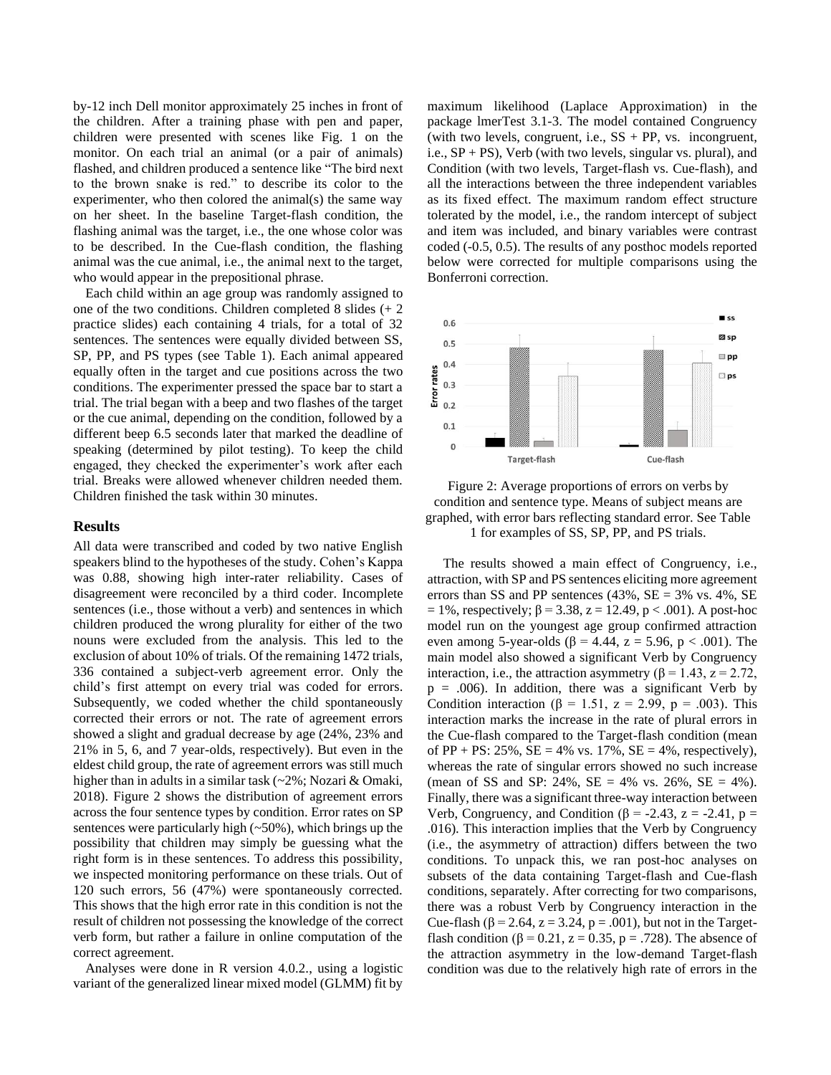by-12 inch Dell monitor approximately 25 inches in front of the children. After a training phase with pen and paper, children were presented with scenes like Fig. 1 on the monitor. On each trial an animal (or a pair of animals) flashed, and children produced a sentence like "The bird next to the brown snake is red." to describe its color to the experimenter, who then colored the animal(s) the same way on her sheet. In the baseline Target-flash condition, the flashing animal was the target, i.e., the one whose color was to be described. In the Cue-flash condition, the flashing animal was the cue animal, i.e., the animal next to the target, who would appear in the prepositional phrase.

Each child within an age group was randomly assigned to one of the two conditions. Children completed 8 slides (+ 2 practice slides) each containing 4 trials, for a total of 32 sentences. The sentences were equally divided between SS, SP, PP, and PS types (see Table 1). Each animal appeared equally often in the target and cue positions across the two conditions. The experimenter pressed the space bar to start a trial. The trial began with a beep and two flashes of the target or the cue animal, depending on the condition, followed by a different beep 6.5 seconds later that marked the deadline of speaking (determined by pilot testing). To keep the child engaged, they checked the experimenter's work after each trial. Breaks were allowed whenever children needed them. Children finished the task within 30 minutes.

#### **Results**

All data were transcribed and coded by two native English speakers blind to the hypotheses of the study. Cohen's Kappa was 0.88, showing high inter-rater reliability. Cases of disagreement were reconciled by a third coder. Incomplete sentences (i.e., those without a verb) and sentences in which children produced the wrong plurality for either of the two nouns were excluded from the analysis. This led to the exclusion of about 10% of trials. Of the remaining 1472 trials, 336 contained a subject-verb agreement error. Only the child's first attempt on every trial was coded for errors. Subsequently, we coded whether the child spontaneously corrected their errors or not. The rate of agreement errors showed a slight and gradual decrease by age (24%, 23% and 21% in 5, 6, and 7 year-olds, respectively). But even in the eldest child group, the rate of agreement errors was still much higher than in adults in a similar task (~2%; Nozari & Omaki, 2018). Figure 2 shows the distribution of agreement errors across the four sentence types by condition. Error rates on SP sentences were particularly high  $(\sim 50\%)$ , which brings up the possibility that children may simply be guessing what the right form is in these sentences. To address this possibility, we inspected monitoring performance on these trials. Out of 120 such errors, 56 (47%) were spontaneously corrected. This shows that the high error rate in this condition is not the result of children not possessing the knowledge of the correct verb form, but rather a failure in online computation of the correct agreement.

Analyses were done in R version 4.0.2., using a logistic variant of the generalized linear mixed model (GLMM) fit by maximum likelihood (Laplace Approximation) in the package lmerTest 3.1-3. The model contained Congruency (with two levels, congruent, i.e.,  $SS + PP$ , vs. incongruent, i.e.,  $SP + PS$ ), Verb (with two levels, singular vs. plural), and Condition (with two levels, Target-flash vs. Cue-flash), and all the interactions between the three independent variables as its fixed effect. The maximum random effect structure tolerated by the model, i.e., the random intercept of subject and item was included, and binary variables were contrast coded (-0.5, 0.5). The results of any posthoc models reported below were corrected for multiple comparisons using the Bonferroni correction.





The results showed a main effect of Congruency, i.e., attraction, with SP and PS sentences eliciting more agreement errors than SS and PP sentences (43%, SE = 3% vs. 4%, SE  $= 1\%$ , respectively; β = 3.38, z = 12.49, p < .001). A post-hoc model run on the youngest age group confirmed attraction even among 5-year-olds (β = 4.44, z = 5.96, p < .001). The main model also showed a significant Verb by Congruency interaction, i.e., the attraction asymmetry ( $\beta$  = 1.43, z = 2.72,  $p = .006$ ). In addition, there was a significant Verb by Condition interaction ( $\beta = 1.51$ ,  $z = 2.99$ ,  $p = .003$ ). This interaction marks the increase in the rate of plural errors in the Cue-flash compared to the Target-flash condition (mean of PP + PS: 25%,  $SE = 4\%$  vs. 17%,  $SE = 4\%$ , respectively), whereas the rate of singular errors showed no such increase (mean of SS and SP: 24%, SE = 4% vs. 26%, SE = 4%). Finally, there was a significant three-way interaction between Verb, Congruency, and Condition ( $\beta$  = -2.43, z = -2.41, p = .016). This interaction implies that the Verb by Congruency (i.e., the asymmetry of attraction) differs between the two conditions. To unpack this, we ran post-hoc analyses on subsets of the data containing Target-flash and Cue-flash conditions, separately. After correcting for two comparisons, there was a robust Verb by Congruency interaction in the Cue-flash ( $\beta$  = 2.64, z = 3.24, p = .001), but not in the Targetflash condition ( $\beta$  = 0.21, z = 0.35, p = .728). The absence of the attraction asymmetry in the low-demand Target-flash condition was due to the relatively high rate of errors in the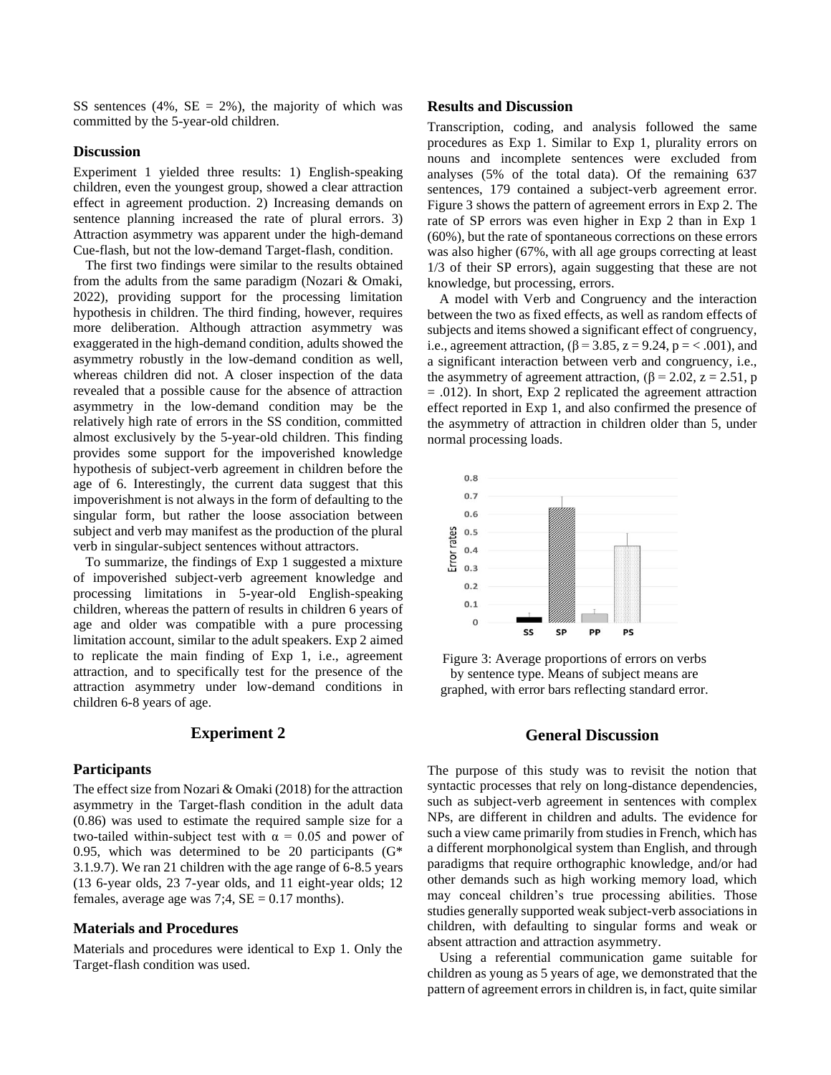SS sentences (4%,  $SE = 2\%$ ), the majority of which was committed by the 5-year-old children.

# **Discussion**

Experiment 1 yielded three results: 1) English-speaking children, even the youngest group, showed a clear attraction effect in agreement production. 2) Increasing demands on sentence planning increased the rate of plural errors. 3) Attraction asymmetry was apparent under the high-demand Cue-flash, but not the low-demand Target-flash, condition.

The first two findings were similar to the results obtained from the adults from the same paradigm (Nozari & Omaki, 2022), providing support for the processing limitation hypothesis in children. The third finding, however, requires more deliberation. Although attraction asymmetry was exaggerated in the high-demand condition, adults showed the asymmetry robustly in the low-demand condition as well, whereas children did not. A closer inspection of the data revealed that a possible cause for the absence of attraction asymmetry in the low-demand condition may be the relatively high rate of errors in the SS condition, committed almost exclusively by the 5-year-old children. This finding provides some support for the impoverished knowledge hypothesis of subject-verb agreement in children before the age of 6. Interestingly, the current data suggest that this impoverishment is not always in the form of defaulting to the singular form, but rather the loose association between subject and verb may manifest as the production of the plural verb in singular-subject sentences without attractors.

To summarize, the findings of Exp 1 suggested a mixture of impoverished subject-verb agreement knowledge and processing limitations in 5-year-old English-speaking children, whereas the pattern of results in children 6 years of age and older was compatible with a pure processing limitation account, similar to the adult speakers. Exp 2 aimed to replicate the main finding of Exp 1, i.e., agreement attraction, and to specifically test for the presence of the attraction asymmetry under low-demand conditions in children 6-8 years of age.

## **Experiment 2**

#### **Participants**

The effect size from Nozari & Omaki (2018) for the attraction asymmetry in the Target-flash condition in the adult data (0.86) was used to estimate the required sample size for a two-tailed within-subject test with  $\alpha = 0.05$  and power of 0.95, which was determined to be 20 participants  $(G^*)$ 3.1.9.7). We ran 21 children with the age range of 6-8.5 years (13 6-year olds, 23 7-year olds, and 11 eight-year olds; 12 females, average age was  $7:4$ ,  $SE = 0.17$  months).

# **Materials and Procedures**

Materials and procedures were identical to Exp 1. Only the Target-flash condition was used.

#### **Results and Discussion**

Transcription, coding, and analysis followed the same procedures as Exp 1. Similar to Exp 1, plurality errors on nouns and incomplete sentences were excluded from analyses (5% of the total data). Of the remaining 637 sentences, 179 contained a subject-verb agreement error. Figure 3 shows the pattern of agreement errors in Exp 2. The rate of SP errors was even higher in Exp 2 than in Exp 1 (60%), but the rate of spontaneous corrections on these errors was also higher (67%, with all age groups correcting at least 1/3 of their SP errors), again suggesting that these are not knowledge, but processing, errors.

A model with Verb and Congruency and the interaction between the two as fixed effects, as well as random effects of subjects and items showed a significant effect of congruency, i.e., agreement attraction,  $(\beta = 3.85, z = 9.24, p = 0.001)$ , and a significant interaction between verb and congruency, i.e., the asymmetry of agreement attraction,  $(\beta = 2.02, z = 2.51, p)$  $= .012$ ). In short, Exp 2 replicated the agreement attraction effect reported in Exp 1, and also confirmed the presence of the asymmetry of attraction in children older than 5, under normal processing loads.



Figure 3: Average proportions of errors on verbs by sentence type. Means of subject means are graphed, with error bars reflecting standard error.

# **General Discussion**

The purpose of this study was to revisit the notion that syntactic processes that rely on long-distance dependencies, such as subject-verb agreement in sentences with complex NPs, are different in children and adults. The evidence for such a view came primarily from studies in French, which has a different morphonolgical system than English, and through paradigms that require orthographic knowledge, and/or had other demands such as high working memory load, which may conceal children's true processing abilities. Those studies generally supported weak subject-verb associations in children, with defaulting to singular forms and weak or absent attraction and attraction asymmetry.

Using a referential communication game suitable for children as young as 5 years of age, we demonstrated that the pattern of agreement errors in children is, in fact, quite similar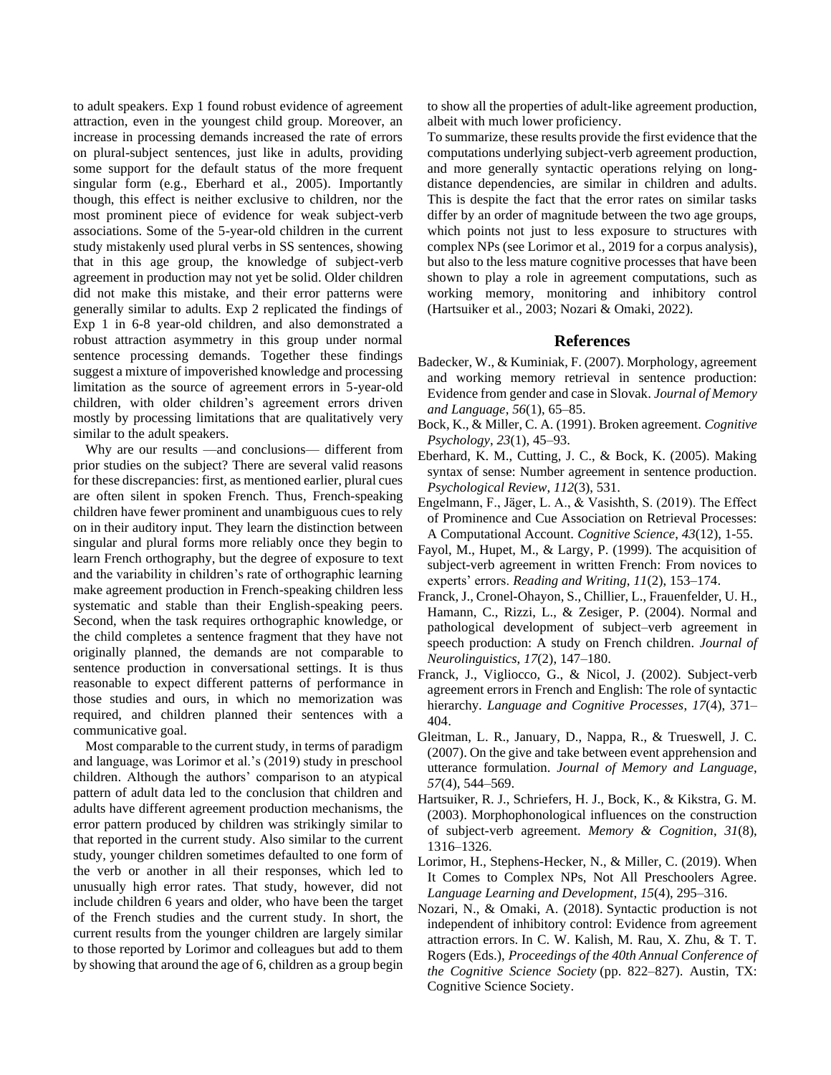to adult speakers. Exp 1 found robust evidence of agreement attraction, even in the youngest child group. Moreover, an increase in processing demands increased the rate of errors on plural-subject sentences, just like in adults, providing some support for the default status of the more frequent singular form (e.g., Eberhard et al., 2005). Importantly though, this effect is neither exclusive to children, nor the most prominent piece of evidence for weak subject-verb associations. Some of the 5-year-old children in the current study mistakenly used plural verbs in SS sentences, showing that in this age group, the knowledge of subject-verb agreement in production may not yet be solid. Older children did not make this mistake, and their error patterns were generally similar to adults. Exp 2 replicated the findings of Exp 1 in 6-8 year-old children, and also demonstrated a robust attraction asymmetry in this group under normal sentence processing demands. Together these findings suggest a mixture of impoverished knowledge and processing limitation as the source of agreement errors in 5-year-old children, with older children's agreement errors driven mostly by processing limitations that are qualitatively very similar to the adult speakers.

Why are our results —and conclusions— different from prior studies on the subject? There are several valid reasons for these discrepancies: first, as mentioned earlier, plural cues are often silent in spoken French. Thus, French-speaking children have fewer prominent and unambiguous cues to rely on in their auditory input. They learn the distinction between singular and plural forms more reliably once they begin to learn French orthography, but the degree of exposure to text and the variability in children's rate of orthographic learning make agreement production in French-speaking children less systematic and stable than their English-speaking peers. Second, when the task requires orthographic knowledge, or the child completes a sentence fragment that they have not originally planned, the demands are not comparable to sentence production in conversational settings. It is thus reasonable to expect different patterns of performance in those studies and ours, in which no memorization was required, and children planned their sentences with a communicative goal.

Most comparable to the current study, in terms of paradigm and language, was Lorimor et al.'s (2019) study in preschool children. Although the authors' comparison to an atypical pattern of adult data led to the conclusion that children and adults have different agreement production mechanisms, the error pattern produced by children was strikingly similar to that reported in the current study. Also similar to the current study, younger children sometimes defaulted to one form of the verb or another in all their responses, which led to unusually high error rates. That study, however, did not include children 6 years and older, who have been the target of the French studies and the current study. In short, the current results from the younger children are largely similar to those reported by Lorimor and colleagues but add to them by showing that around the age of 6, children as a group begin to show all the properties of adult-like agreement production, albeit with much lower proficiency.

To summarize, these results provide the first evidence that the computations underlying subject-verb agreement production, and more generally syntactic operations relying on longdistance dependencies, are similar in children and adults. This is despite the fact that the error rates on similar tasks differ by an order of magnitude between the two age groups, which points not just to less exposure to structures with complex NPs (see Lorimor et al., 2019 for a corpus analysis), but also to the less mature cognitive processes that have been shown to play a role in agreement computations, such as working memory, monitoring and inhibitory control (Hartsuiker et al., 2003; Nozari & Omaki, 2022).

## **References**

- Badecker, W., & Kuminiak, F. (2007). Morphology, agreement and working memory retrieval in sentence production: Evidence from gender and case in Slovak. *Journal of Memory and Language*, *56*(1), 65–85.
- Bock, K., & Miller, C. A. (1991). Broken agreement. *Cognitive Psychology*, *23*(1), 45–93.
- Eberhard, K. M., Cutting, J. C., & Bock, K. (2005). Making syntax of sense: Number agreement in sentence production. *Psychological Review*, *112*(3), 531.
- Engelmann, F., Jӓger, L. A., & Vasishth, S. (2019). The Effect of Prominence and Cue Association on Retrieval Processes: A Computational Account. *Cognitive Science*, *43*(12), 1-55.
- Fayol, M., Hupet, M., & Largy, P. (1999). The acquisition of subject-verb agreement in written French: From novices to experts' errors. *Reading and Writing*, *11*(2), 153–174.
- Franck, J., Cronel-Ohayon, S., Chillier, L., Frauenfelder, U. H., Hamann, C., Rizzi, L., & Zesiger, P. (2004). Normal and pathological development of subject–verb agreement in speech production: A study on French children. *Journal of Neurolinguistics*, *17*(2), 147–180.
- Franck, J., Vigliocco, G., & Nicol, J. (2002). Subject-verb agreement errors in French and English: The role of syntactic hierarchy. *Language and Cognitive Processes*, *17*(4), 371– 404.
- Gleitman, L. R., January, D., Nappa, R., & Trueswell, J. C. (2007). On the give and take between event apprehension and utterance formulation. *Journal of Memory and Language*, *57*(4), 544–569.
- Hartsuiker, R. J., Schriefers, H. J., Bock, K., & Kikstra, G. M. (2003). Morphophonological influences on the construction of subject-verb agreement. *Memory & Cognition*, *31*(8), 1316–1326.
- Lorimor, H., Stephens-Hecker, N., & Miller, C. (2019). When It Comes to Complex NPs, Not All Preschoolers Agree. *Language Learning and Development*, *15*(4), 295–316.
- Nozari, N., & Omaki, A. (2018). Syntactic production is not independent of inhibitory control: Evidence from agreement attraction errors. In C. W. Kalish, M. Rau, X. Zhu, & T. T. Rogers (Eds.), *Proceedings of the 40th Annual Conference of the Cognitive Science Society* (pp. 822–827). Austin, TX: Cognitive Science Society.